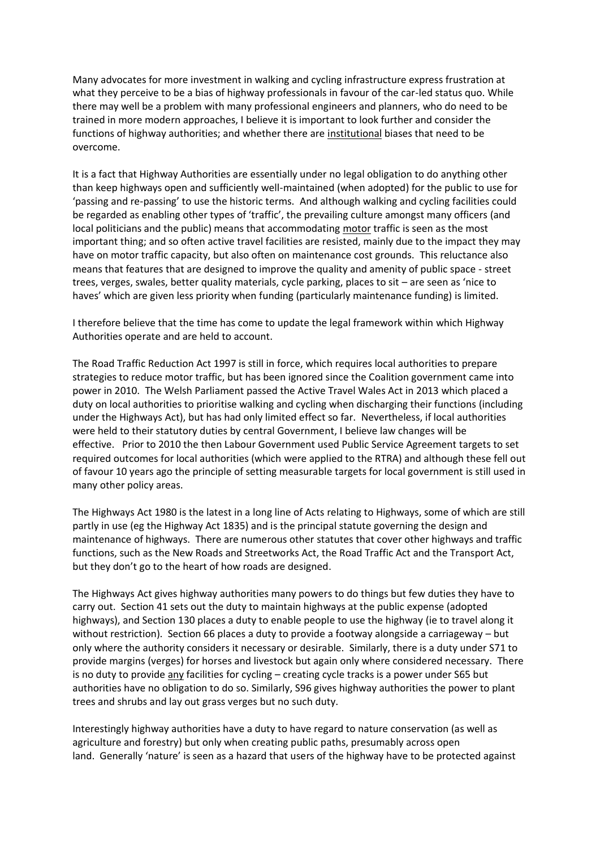Many advocates for more investment in walking and cycling infrastructure express frustration at what they perceive to be a bias of highway professionals in favour of the car-led status quo. While there may well be a problem with many professional engineers and planners, who do need to be trained in more modern approaches, I believe it is important to look further and consider the functions of highway authorities; and whether there are institutional biases that need to be overcome.

It is a fact that Highway Authorities are essentially under no legal obligation to do anything other than keep highways open and sufficiently well-maintained (when adopted) for the public to use for 'passing and re-passing' to use the historic terms. And although walking and cycling facilities could be regarded as enabling other types of 'traffic', the prevailing culture amongst many officers (and local politicians and the public) means that accommodating motor traffic is seen as the most important thing; and so often active travel facilities are resisted, mainly due to the impact they may have on motor traffic capacity, but also often on maintenance cost grounds. This reluctance also means that features that are designed to improve the quality and amenity of public space - street trees, verges, swales, better quality materials, cycle parking, places to sit – are seen as 'nice to haves' which are given less priority when funding (particularly maintenance funding) is limited.

I therefore believe that the time has come to update the legal framework within which Highway Authorities operate and are held to account.

The Road Traffic Reduction Act 1997 is still in force, which requires local authorities to prepare strategies to reduce motor traffic, but has been ignored since the Coalition government came into power in 2010. The Welsh Parliament passed the Active Travel Wales Act in 2013 which placed a duty on local authorities to prioritise walking and cycling when discharging their functions (including under the Highways Act), but has had only limited effect so far. Nevertheless, if local authorities were held to their statutory duties by central Government, I believe law changes will be effective. Prior to 2010 the then Labour Government used Public Service Agreement targets to set required outcomes for local authorities (which were applied to the RTRA) and although these fell out of favour 10 years ago the principle of setting measurable targets for local government is still used in many other policy areas.

The Highways Act 1980 is the latest in a long line of Acts relating to Highways, some of which are still partly in use (eg the Highway Act 1835) and is the principal statute governing the design and maintenance of highways. There are numerous other statutes that cover other highways and traffic functions, such as the New Roads and Streetworks Act, the Road Traffic Act and the Transport Act, but they don't go to the heart of how roads are designed.

The Highways Act gives highway authorities many powers to do things but few duties they have to carry out. Section 41 sets out the duty to maintain highways at the public expense (adopted highways), and Section 130 places a duty to enable people to use the highway (ie to travel along it without restriction). Section 66 places a duty to provide a footway alongside a carriageway – but only where the authority considers it necessary or desirable. Similarly, there is a duty under S71 to provide margins (verges) for horses and livestock but again only where considered necessary. There is no duty to provide any facilities for cycling – creating cycle tracks is a power under S65 but authorities have no obligation to do so. Similarly, S96 gives highway authorities the power to plant trees and shrubs and lay out grass verges but no such duty.

Interestingly highway authorities have a duty to have regard to nature conservation (as well as agriculture and forestry) but only when creating public paths, presumably across open land. Generally 'nature' is seen as a hazard that users of the highway have to be protected against